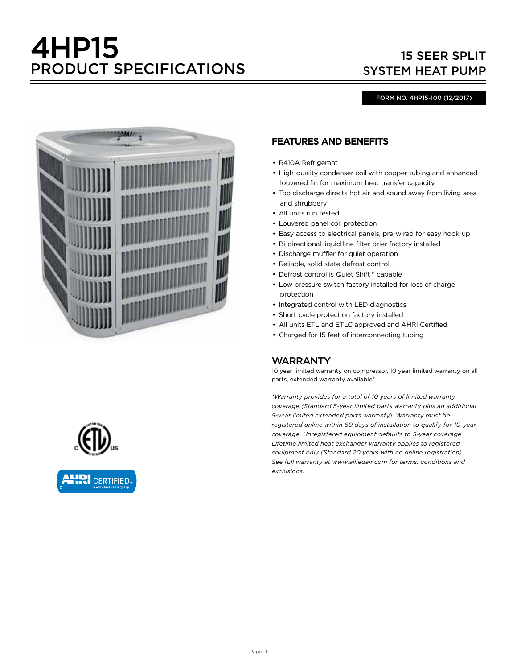# 4HP15 PRODUCT SPECIFICATIONS

# 15 SEER SPLIT SYSTEM HEAT PUMP

#### FORM NO. 4HP15-100 (12/2017)



## **FEATURES AND BENEFITS**

- R410A Refrigerant
- High-quality condenser coil with copper tubing and enhanced louvered fin for maximum heat transfer capacity
- Top discharge directs hot air and sound away from living area and shrubbery
- All units run tested
- Louvered panel coil protection
- Easy access to electrical panels, pre-wired for easy hook-up
- Bi-directional liquid line filter drier factory installed
- Discharge muffler for quiet operation
- Reliable, solid state defrost control
- Defrost control is Quiet Shift™ capable
- Low pressure switch factory installed for loss of charge protection
- Integrated control with LED diagnostics
- Short cycle protection factory installed
- All units ETL and ETLC approved and AHRI Certified
- Charged for 15 feet of interconnecting tubing

#### WARRANTY

10 year limited warranty on compressor, 10 year limited warranty on all parts, extended warranty available\*

*\*Warranty provides for a total of 10 years of limited warranty coverage (Standard 5-year limited parts warranty plus an additional 5-year limited extended parts warranty). Warranty must be registered online within 60 days of installation to qualify for 10-year coverage. Unregistered equipment defaults to 5-year coverage. Lifetime limited heat exchanger warranty applies to registered equipment only (Standard 20 years with no online registration). See full warranty at www.alliedair.com for terms, conditions and exclusions.*

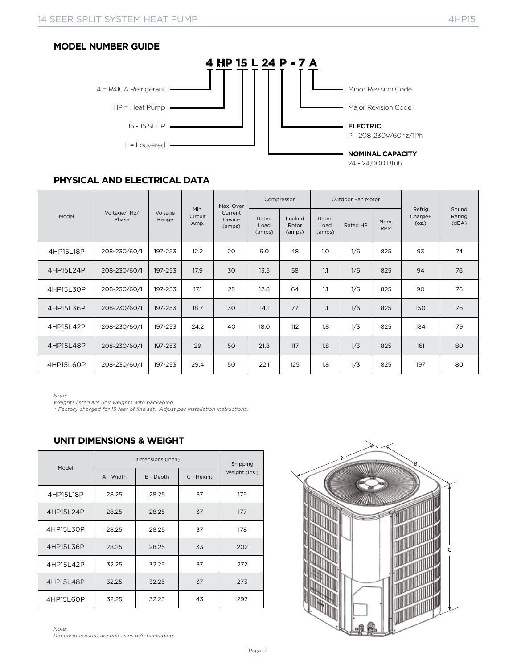#### **MODEL NUMBER GUIDE**



24 - 24,000 Btuh

## **PHYSICAL AND ELECTRICAL DATA**

|           |                       |                  |                         | Max. Over                   |                         | Compressor                |                         | Outdoor Fan Motor |                    |                             |                          |
|-----------|-----------------------|------------------|-------------------------|-----------------------------|-------------------------|---------------------------|-------------------------|-------------------|--------------------|-----------------------------|--------------------------|
| Model     | Voltage/ Hz/<br>Phase | Voltage<br>Range | Min.<br>Circuit<br>Amp. | Current<br>Device<br>(amps) | Rated<br>Load<br>(amps) | Locked<br>Rotor<br>(amps) | Rated<br>Load<br>(amps) | Rated HP          | Nom.<br><b>RPM</b> | Refrig.<br>Charge+<br>(oz.) | Sound<br>Rating<br>(dBA) |
| 4HP15L18P | 208-230/60/1          | 197-253          | 12.2                    | 20                          | 9.0                     | 48                        | 1.0                     | 1/6               | 825                | 93                          | 74                       |
| 4HP15L24P | 208-230/60/1          | 197-253          | 17.9                    | 30                          | 13.5                    | 58                        | 1.1                     | 1/6               | 825                | 94                          | 76                       |
| 4HP15L30P | 208-230/60/1          | 197-253          | 17.1                    | 25                          | 12.8                    | 64                        | 1.1                     | 1/6               | 825                | 90                          | 76                       |
| 4HP15L36P | 208-230/60/1          | 197-253          | 18.7                    | 30                          | 14.1                    | 77                        | 1.1                     | 1/6               | 825                | 150                         | 76                       |
| 4HP15L42P | 208-230/60/1          | 197-253          | 24.2                    | 40                          | 18.0                    | 112                       | 1.8                     | 1/3               | 825                | 184                         | 79                       |
| 4HP15L48P | 208-230/60/1          | 197-253          | 29                      | 50                          | 21.8                    | 117                       | 1.8                     | 1/3               | 825                | 161                         | 80                       |
| 4HP15L6OP | 208-230/60/1          | 197-253          | 29.4                    | 50                          | 22.1                    | 125                       | 1.8                     | 1/3               | 825                | 197                         | 80                       |

*Note: Weights listed are unit weights with packaging*

*+ Factory charged for 15 feet of line set. Adjust per installation instructions.*

## **UNIT DIMENSIONS & WEIGHT**

|           |           | Dimensions (inch) |            | Shipping      |
|-----------|-----------|-------------------|------------|---------------|
| Model     | A - Width | B - Depth         | C - Height | Weight (lbs.) |
| 4HP15L18P | 28.25     | 28.25             | 37         | 175           |
| 4HP15L24P | 28.25     | 28.25             | 37         | 177           |
| 4HP15L30P | 28.25     | 28.25             | 37         | 178           |
| 4HP15L36P | 28.25     | 28.25             | 33         | 202           |
| 4HP15L42P | 32.25     | 32.25             | 37         | 272           |
| 4HP15L48P | 32.25     | 32.25             | 37         | 273           |
| 4HP15L6OP | 32.25     | 32.25             | 43         | 297           |

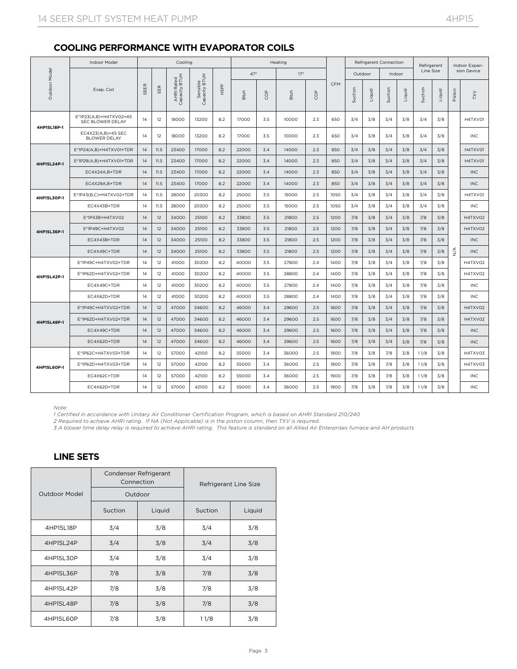#### **COOLING PERFORMANCE WITH EVAPORATOR COILS**

|             | Indoor Model                               |      |      | Cooling                     |                           |      |             |            | Heating    |            |            |         |        | Refrigerent Connection |        | Refirgerent |        |        | Indoor Expan- |
|-------------|--------------------------------------------|------|------|-----------------------------|---------------------------|------|-------------|------------|------------|------------|------------|---------|--------|------------------------|--------|-------------|--------|--------|---------------|
| Model       |                                            |      |      |                             |                           |      | $47^\circ$  |            | $17^\circ$ |            |            | Outdoor |        | Indoor                 |        | Line Size   |        |        | sion Device   |
| Outdoor     | Evap. Coil                                 | SEER | EER  | AHRI Rated<br>Capacity BTUH | Sensible<br>Capacity BTUH | HSPF | <b>Btuh</b> | <b>COP</b> | Btuh       | <b>COP</b> | <b>CFM</b> | Suction | Liquid | Suction                | Liquid | Suction     | Liquid | Piston | VXL           |
|             | E*1P23(A,B)+H4TXV02+45<br>SEC BLOWER DELAY | 14   | 12   | 18000                       | 13200                     | 8.2  | 17000       | 3.5        | 10000      | 2.3        | 650        | 3/4     | 3/8    | 3/4                    | 3/8    | 3/4         | 3/8    |        | H4TXV01       |
| 4HP15L18P-1 | EC4X23(A,B)+45 SEC<br><b>BLOWER DELAY</b>  | 14   | 12   | 18000                       | 13200                     | 8.2  | 17000       | 3.5        | 10000      | 2.3        | 650        | 3/4     | 3/8    | 3/4                    | 3/8    | 3/4         | 3/8    |        | INC           |
|             | E*1P24(A,B)+H4TXV01+TDR                    | 14   | 11.5 | 23400                       | 17000                     | 8.2  | 22000       | 3.4        | 14000      | 2.3        | 850        | 3/4     | 3/8    | 3/4                    | 3/8    | 3/4         | 3/8    |        | H4TXV01       |
| 4HP15L24P-1 | E*1P29(A,B)+H4TXV01+TDR                    | 14   | 11.5 | 23400                       | 17000                     | 8.2  | 22000       | 3.4        | 14000      | 2.3        | 850        | 3/4     | 3/8    | 3/4                    | 3/8    | 3/4         | 3/8    |        | H4TXV01       |
|             | EC4X24A,B+TDR                              | 14   | 11.5 | 23400                       | 17000                     | 8.2  | 22000       | 3.4        | 14000      | 2.3        | 850        | 3/4     | 3/8    | 3/4                    | 3/8    | 3/4         | 3/8    |        | <b>INC</b>    |
|             | EC4X29A.B+TDR                              | 14   | 11.5 | 23400                       | 17000                     | 8.2  | 22000       | 3.4        | 14000      | 2.3        | 850        | 3/4     | 3/8    | 3/4                    | 3/8    | 3/4         | 3/8    |        | INC           |
| 4HP15L30P-1 | E*1P43(B,C)+H4TXV02+TDR                    | 14   | 11.5 | 28000                       | 20300                     | 8.2  | 25000       | 3.5        | 15000      | 2.5        | 1050       | 3/4     | 3/8    | 3/4                    | 3/8    | 3/4         | 3/8    |        | H4TXV01       |
|             | EC4X43B+TDR                                | 14   | 11.5 | 28000                       | 20300                     | 8.2  | 25000       | 3.5        | 15000      | 2.5        | 1050       | 3/4     | 3/8    | 3/4                    | 3/8    | 3/4         | 3/8    |        | <b>INC</b>    |
|             | E*1P43B+H4TXV02                            | 14   | 12   | 34000                       | 25100                     | 8.2  | 33800       | 3.5        | 21800      | 2.5        | 1200       | 7/8     | 3/8    | 3/4                    | 3/8    | 7/8         | 3/8    |        | H4TXV02       |
| 4HP15L36P-1 | E*1P49C+H4TXV02                            | 14   | 12   | 34000                       | 25100                     | 8.2  | 33800       | 3.5        | 21800      | 2.5        | 1200       | 7/8     | 3/8    | 3/4                    | 3/8    | 7/8         | 3/8    |        | H4TXV02       |
|             | EC4X43B+TDR                                | 14   | 12   | 34000                       | 25100                     | 8.2  | 33800       | 3.5        | 21800      | 2.5        | 1200       | 7/8     | 3/8    | 3/4                    | 3/8    | 7/8         | 3/8    |        | <b>INC</b>    |
|             | EC4X49C+TDR                                | 14   | 12   | 34000                       | 25100                     | 8.2  | 33800       | 3.5        | 21800      | 2.5        | 1200       | 7/8     | 3/8    | 3/4                    | 3/8    | 7/8         | 3/8    | ≸      | <b>INC</b>    |
|             | E*1P49C+H4TXV02+TDR                        | 14   | 12   | 41000                       | 30200                     | 8.2  | 40000       | 3.5        | 27800      | 2.4        | 1400       | 7/8     | 3/8    | 3/4                    | 3/8    | 7/8         | 3/8    |        | H4TXV02       |
| 4HP15L42P-1 | E*1P62D+H4TXV02+TDR                        | 14   | 12   | 41000                       | 30200                     | 8.2  | 40000       | 3.5        | 28800      | 2.4        | 1400       | 7/8     | 3/8    | 3/4                    | 3/8    | 7/8         | 3/8    |        | H4TXV02       |
|             | EC4X49C+TDR                                | 14   | 12   | 41000                       | 30200                     | 8.2  | 40000       | 3.5        | 27800      | 2.4        | 1400       | 7/8     | 3/8    | 3/4                    | 3/8    | 7/8         | 3/8    |        | <b>INC</b>    |
|             | EC4X62D+TDR                                | 14   | 12   | 41000                       | 30200                     | 8.2  | 40000       | 3.5        | 28800      | 2.4        | 1400       | 7/8     | 3/8    | 3/4                    | 3/8    | 7/8         | 3/8    |        | <b>INC</b>    |
|             | E*1P49C+H4TXV02+TDR                        | 14   | 12   | 47000                       | 34600                     | 8.2  | 46000       | 3.4        | 29600      | 2.5        | 1600       | 7/8     | 3/8    | 3/4                    | 3/8    | 7/8         | 3/8    |        | H4TXV02       |
| 4HP15L48P-1 | E*1P62D+H4TXV02+TDR                        | 14   | 12   | 47000                       | 34600                     | 8.2  | 46000       | 3.4        | 29600      | 2.5        | 1600       | 7/8     | 3/8    | 3/4                    | 3/8    | 7/8         | 3/8    |        | H4TXV02       |
|             | EC4X49C+TDR                                | 14   | 12   | 47000                       | 34600                     | 8.2  | 46000       | 3.4        | 29600      | 2.5        | 1600       | 7/8     | 3/8    | 3/4                    | 3/8    | 7/8         | 3/8    |        | <b>INC</b>    |
|             | EC4X62D+TDR                                | 14   | 12   | 47000                       | 34600                     | 8.2  | 46000       | 3.4        | 29600      | 2.5        | 1600       | 7/8     | 3/8    | 3/4                    | 3/8    | 7/8         | 3/8    |        | <b>INC</b>    |
|             | E*1P62C+H4TXV03+TDR                        | 14   | 12   | 57000                       | 42100                     | 8.2  | 55000       | 3.4        | 36000      | 2.5        | 1900       | 7/8     | 3/8    | 7/8                    | 3/8    | 11/8        | 3/8    |        | H4TXV03       |
| 4HP15L6OP-1 | E*1P62D+H4TXV03+TDR                        | 14   | 12   | 57000                       | 42100                     | 8.2  | 55000       | 3.4        | 36000      | 2.5        | 1900       | 7/8     | 3/8    | 7/8                    | 3/8    | 11/8        | 3/8    |        | H4TXV03       |
|             | EC4X62C+TDR                                | 14   | 12   | 57000                       | 42100                     | 8.2  | 55000       | 3.4        | 36000      | 2.5        | 1900       | 7/8     | 3/8    | 7/8                    | 3/8    | 11/8        | 3/8    |        | INC.          |
|             | EC4X62D+TDR                                | 14   | 12   | 57000                       | 42100                     | 8.2  | 55000       | 3.4        | 36000      | 2.5        | 1900       | 7/8     | 3/8    | 7/8                    | 3/8    | 11/8        | 3/8    |        | <b>INC</b>    |

#### *Note:*

*1 Certified in accordance with Unitary Air Conditioner Certification Program, which is based on AHRI Standard 210/240*

*2 Required to achieve AHRI rating. If NA (Not Applicable) is in the piston column, then TXV is required.*

*3 A blower time delay relay is required to achieve AHRI rating. This feature is standard on all Allied Air Enterprises furnace and AH products*

#### **LINE SETS**

|                      |         | Condenser Refrigerant<br>Connection |         | Refrigerant Line Size |
|----------------------|---------|-------------------------------------|---------|-----------------------|
| <b>Outdoor Model</b> |         | Outdoor                             |         |                       |
|                      | Suction | Liquid                              | Suction | Liquid                |
| 4HP15L18P            | 3/4     | 3/8                                 | 3/4     | 3/8                   |
| 4HP15L24P            | 3/4     | 3/8                                 | 3/4     | 3/8                   |
| 4HP15L30P            | 3/4     | 3/8                                 | 3/4     | 3/8                   |
| 4HP15L36P            | 7/8     | 3/8                                 | 7/8     | 3/8                   |
| 4HP15L42P            | 7/8     | 3/8                                 | 7/8     | 3/8                   |
| 4HP15L48P            | 7/8     | 3/8                                 | 7/8     | 3/8                   |
| 4HP15L6OP            | 7/8     | 3/8                                 | 11/8    | 3/8                   |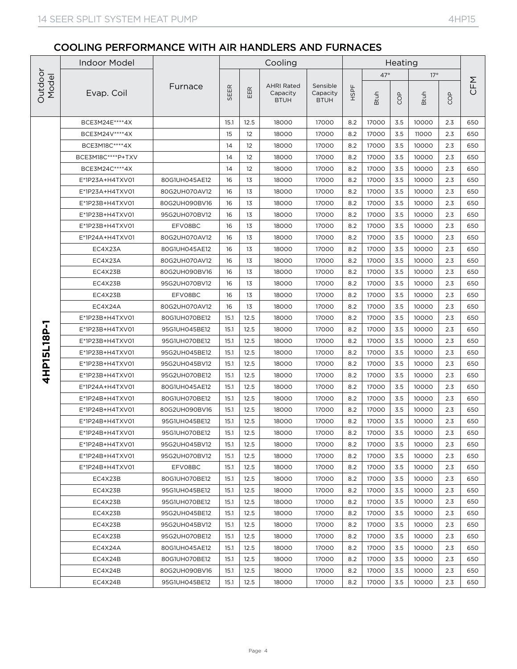|                                 | <b>Indoor Model</b> |               |      |                   | Cooling                                      |                                     |      |             | Heating   |             |            |     |
|---------------------------------|---------------------|---------------|------|-------------------|----------------------------------------------|-------------------------------------|------|-------------|-----------|-------------|------------|-----|
| Outdoor<br>Model<br>4HP15L18P-1 |                     |               |      |                   |                                              |                                     |      | $47^\circ$  |           | $17^\circ$  |            |     |
|                                 | Evap. Coil          | Furnace       | SEER | EER               | <b>AHRI Rated</b><br>Capacity<br><b>BTUH</b> | Sensible<br>Capacity<br><b>BTUH</b> | HSPF | <b>Btuh</b> | <b>OD</b> | <b>Btuh</b> | <b>COP</b> | CFM |
|                                 | BCE3M24E **** 4X    |               | 15.1 | 12.5              | 18000                                        | 17000                               | 8.2  | 17000       | 3.5       | 10000       | 2.3        | 650 |
|                                 | BCE3M24V **** 4X    |               | 15   | $12 \overline{ }$ | 18000                                        | 17000                               | 8.2  | 17000       | 3.5       | 11000       | 2.3        | 650 |
|                                 | BCE3M18C****4X      |               | 14   | 12                | 18000                                        | 17000                               | 8.2  | 17000       | 3.5       | 10000       | 2.3        | 650 |
|                                 | BCE3M18C****P+TXV   |               | 14   | 12                | 18000                                        | 17000                               | 8.2  | 17000       | 3.5       | 10000       | 2.3        | 650 |
|                                 | BCE3M24C****4X      |               | 14   | 12                | 18000                                        | 17000                               | 8.2  | 17000       | 3.5       | 10000       | 2.3        | 650 |
|                                 | E*1P23A+H4TXV01     | 80G1UH045AE12 | 16   | 13                | 18000                                        | 17000                               | 8.2  | 17000       | 3.5       | 10000       | 2.3        | 650 |
|                                 | E*1P23A+H4TXV01     | 80G2UH070AV12 | 16   | 13                | 18000                                        | 17000                               | 8.2  | 17000       | 3.5       | 10000       | 2.3        | 650 |
|                                 | E*1P23B+H4TXV01     | 80G2UH090BV16 | 16   | 13                | 18000                                        | 17000                               | 8.2  | 17000       | 3.5       | 10000       | 2.3        | 650 |
|                                 | E*1P23B+H4TXV01     | 95G2UH070BV12 | 16   | 13                | 18000                                        | 17000                               | 8.2  | 17000       | 3.5       | 10000       | 2.3        | 650 |
|                                 | E*1P23B+H4TXV01     | EFV08BC       | 16   | 13                | 18000                                        | 17000                               | 8.2  | 17000       | 3.5       | 10000       | 2.3        | 650 |
|                                 | E*1P24A+H4TXV01     | 80G2UH070AV12 | 16   | 13                | 18000                                        | 17000                               | 8.2  | 17000       | 3.5       | 10000       | 2.3        | 650 |
|                                 | EC4X23A             | 80G1UH045AE12 | 16   | 13                | 18000                                        | 17000                               | 8.2  | 17000       | 3.5       | 10000       | 2.3        | 650 |
|                                 | EC4X23A             | 80G2UH070AV12 | 16   | 13                | 18000                                        | 17000                               | 8.2  | 17000       | 3.5       | 10000       | 2.3        | 650 |
|                                 | EC4X23B             | 80G2UH090BV16 | 16   | 13                | 18000                                        | 17000                               | 8.2  | 17000       | 3.5       | 10000       | 2.3        | 650 |
|                                 | EC4X23B             | 95G2UH070BV12 | 16   | 13                | 18000                                        | 17000                               | 8.2  | 17000       | 3.5       | 10000       | 2.3        | 650 |
|                                 | EC4X23B             | EFV08BC       | 16   | 13                | 18000                                        | 17000                               | 8.2  | 17000       | 3.5       | 10000       | 2.3        | 650 |
|                                 | EC4X24A             | 80G2UH070AV12 | 16   | 13                | 18000                                        | 17000                               | 8.2  | 17000       | 3.5       | 10000       | 2.3        | 650 |
|                                 | E*1P23B+H4TXV01     | 80G1UH070BE12 | 15.1 | 12.5              | 18000                                        | 17000                               | 8.2  | 17000       | 3.5       | 10000       | 2.3        | 650 |
|                                 | E*1P23B+H4TXV01     | 95G1UH045BE12 | 15.1 | 12.5              | 18000                                        | 17000                               | 8.2  | 17000       | 3.5       | 10000       | 2.3        | 650 |
|                                 | E*1P23B+H4TXV01     | 95G1UH070BE12 | 15.1 | 12.5              | 18000                                        | 17000                               | 8.2  | 17000       | 3.5       | 10000       | 2.3        | 650 |
|                                 | E*1P23B+H4TXV01     | 95G2UH045BE12 | 15.1 | 12.5              | 18000                                        | 17000                               | 8.2  | 17000       | 3.5       | 10000       | 2.3        | 650 |
|                                 | E*1P23B+H4TXV01     | 95G2UH045BV12 | 15.1 | 12.5              | 18000                                        | 17000                               | 8.2  | 17000       | 3.5       | 10000       | 2.3        | 650 |
|                                 | E*1P23B+H4TXV01     | 95G2UH070BE12 | 15.1 | 12.5              | 18000                                        | 17000                               | 8.2  | 17000       | 3.5       | 10000       | 2.3        | 650 |
|                                 | E*1P24A+H4TXV01     | 80G1UH045AE12 | 15.1 | 12.5              | 18000                                        | 17000                               | 8.2  | 17000       | 3.5       | 10000       | 2.3        | 650 |
|                                 | E*1P24B+H4TXV01     | 80G1UH070BE12 | 15.1 | 12.5              | 18000                                        | 17000                               | 8.2  | 17000       | 3.5       | 10000       | 2.3        | 650 |
|                                 | E*1P24B+H4TXV01     | 80G2UH090BV16 | 15.1 | 12.5              | 18000                                        | 17000                               | 8.2  | 17000       | 3.5       | 10000       | 2.3        | 650 |
|                                 | E*1P24B+H4TXV01     | 95G1UH045BE12 | 15.1 | 12.5              | 18000                                        | 17000                               | 8.2  | 17000       | 3.5       | 10000       | 2.3        | 650 |
|                                 | E*1P24B+H4TXV01     | 95G1UH070BE12 | 15.1 | 12.5              | 18000                                        | 17000                               | 8.2  | 17000       | $3.5\,$   | 10000       | 2.3        | 650 |
|                                 | E*1P24B+H4TXV01     | 95G2UH045BV12 | 15.1 | 12.5              | 18000                                        | 17000                               | 8.2  | 17000       | 3.5       | 10000       | 2.3        | 650 |
|                                 | E*1P24B+H4TXV01     | 95G2UH070BV12 | 15.1 | 12.5              | 18000                                        | 17000                               | 8.2  | 17000       | 3.5       | 10000       | 2.3        | 650 |
|                                 | E*1P24B+H4TXV01     | EFV08BC       | 15.1 | 12.5              | 18000                                        | 17000                               | 8.2  | 17000       | 3.5       | 10000       | 2.3        | 650 |
|                                 | EC4X23B             | 80G1UH070BE12 | 15.1 | 12.5              | 18000                                        | 17000                               | 8.2  | 17000       | 3.5       | 10000       | 2.3        | 650 |
|                                 | EC4X23B             | 95G1UH045BE12 | 15.1 | 12.5              | 18000                                        | 17000                               | 8.2  | 17000       | 3.5       | 10000       | 2.3        | 650 |
|                                 | EC4X23B             | 95G1UH070BE12 | 15.1 | 12.5              | 18000                                        | 17000                               | 8.2  | 17000       | 3.5       | 10000       | 2.3        | 650 |
|                                 | EC4X23B             | 95G2UH045BE12 | 15.1 | 12.5              | 18000                                        | 17000                               | 8.2  | 17000       | 3.5       | 10000       | 2.3        | 650 |
|                                 | EC4X23B             | 95G2UH045BV12 | 15.1 | 12.5              | 18000                                        | 17000                               | 8.2  | 17000       | 3.5       | 10000       | 2.3        | 650 |
|                                 | EC4X23B             | 95G2UH070BE12 | 15.1 | 12.5              | 18000                                        | 17000                               | 8.2  | 17000       | 3.5       | 10000       | 2.3        | 650 |
|                                 | EC4X24A             | 80G1UH045AE12 | 15.1 | 12.5              | 18000                                        | 17000                               | 8.2  | 17000       | 3.5       | 10000       | 2.3        | 650 |
|                                 | EC4X24B             | 80G1UH070BE12 | 15.1 | 12.5              | 18000                                        | 17000                               | 8.2  | 17000       | 3.5       | 10000       | 2.3        | 650 |
|                                 | EC4X24B             | 80G2UH090BV16 | 15.1 | 12.5              | 18000                                        | 17000                               | 8.2  | 17000       | 3.5       | 10000       | 2.3        | 650 |
|                                 | EC4X24B             | 95G1UH045BE12 | 15.1 | 12.5              | 18000                                        | 17000                               | 8.2  | 17000       | 3.5       | 10000       | 2.3        | 650 |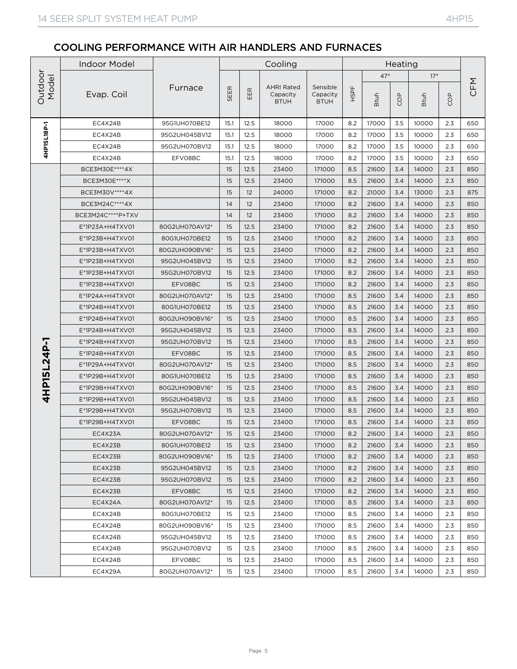|                      | <b>Indoor Model</b> |                |      |                           | Cooling                                      |                                     |      |             | Heating |             |                                                                                                                                                                                                                                                                                                               |     |
|----------------------|---------------------|----------------|------|---------------------------|----------------------------------------------|-------------------------------------|------|-------------|---------|-------------|---------------------------------------------------------------------------------------------------------------------------------------------------------------------------------------------------------------------------------------------------------------------------------------------------------------|-----|
|                      |                     |                |      |                           |                                              |                                     |      | $47^\circ$  |         |             |                                                                                                                                                                                                                                                                                                               |     |
| Outdoor<br>Model     | Evap. Coil          | Furnace        | SEER | $\underline{\alpha}$<br>出 | <b>AHRI Rated</b><br>Capacity<br><b>BTUH</b> | Sensible<br>Capacity<br><b>BTUH</b> | HSPF | <b>Btuh</b> | COP     | <b>Btuh</b> | $17^\circ$<br>COP<br>2.3<br>2.3<br>2.3<br>2.3<br>2.3<br>2.3<br>2.3<br>2.3<br>2.3<br>2.3<br>2.3<br>2.3<br>2.3<br>2.3<br>2.3<br>2.3<br>2.3<br>2.3<br>2.3<br>2.3<br>2.3<br>2.3<br>2.3<br>2.3<br>2.3<br>2.3<br>2.3<br>$2.3\,$<br>2.3<br>2.3<br>2.3<br>2.3<br>2.3<br>2.3<br>2.3<br>2.3<br>2.3<br>2.3<br>2.3<br>2.3 | CFM |
|                      | EC4X24B             | 95G1UH070BE12  | 15.1 | 12.5                      | 18000                                        | 17000                               | 8.2  | 17000       | 3.5     | 10000       |                                                                                                                                                                                                                                                                                                               | 650 |
| <b>L-d8L1SL18P-1</b> | EC4X24B             | 95G2UH045BV12  | 15.1 | 12.5                      | 18000                                        | 17000                               | 8.2  | 17000       | 3.5     | 10000       |                                                                                                                                                                                                                                                                                                               | 650 |
|                      | EC4X24B             | 95G2UH070BV12  | 15.1 | 12.5                      | 18000                                        | 17000                               | 8.2  | 17000       | 3.5     | 10000       |                                                                                                                                                                                                                                                                                                               | 650 |
|                      | EC4X24B             | EFV08BC        | 15.1 | 12.5                      | 18000                                        | 17000                               | 8.2  | 17000       | 3.5     | 10000       |                                                                                                                                                                                                                                                                                                               | 650 |
|                      | BCE3M30E **** 4X    |                | 15   | 12.5                      | 23400                                        | 171000                              | 8.5  | 21600       | 3.4     | 14000       |                                                                                                                                                                                                                                                                                                               | 850 |
|                      | BCE3M30E ***** X    |                | 15   | 12.5                      | 23400                                        | 171000                              | 8.5  | 21600       | 3.4     | 14000       |                                                                                                                                                                                                                                                                                                               | 850 |
|                      | BCE3M30V **** 4X    |                | 15   | 12                        | 24000                                        | 171000                              | 8.2  | 21000       | 3.4     | 13000       |                                                                                                                                                                                                                                                                                                               | 875 |
|                      | BCE3M24C****4X      |                | 14   | 12                        | 23400                                        | 171000                              | 8.2  | 21600       | 3.4     | 14000       |                                                                                                                                                                                                                                                                                                               | 850 |
|                      | BCE3M24C****P+TXV   |                | 14   | 12                        | 23400                                        | 171000                              | 8.2  | 21600       | 3.4     | 14000       |                                                                                                                                                                                                                                                                                                               | 850 |
|                      | $E^*$ 1P23A+H4TXV01 | 80G2UH070AV12* | 15   | 12.5                      | 23400                                        | 171000                              | 8.2  | 21600       | 3.4     | 14000       |                                                                                                                                                                                                                                                                                                               | 850 |
|                      | E*1P23B+H4TXV01     | 80G1UH070BE12  | 15   | 12.5                      | 23400                                        | 171000                              | 8.2  | 21600       | 3.4     | 14000       |                                                                                                                                                                                                                                                                                                               | 850 |
|                      | E*1P23B+H4TXV01     | 80G2UH090BV16* | 15   | 12.5                      | 23400                                        | 171000                              | 8.2  | 21600       | 3.4     | 14000       |                                                                                                                                                                                                                                                                                                               | 850 |
|                      | E*1P23B+H4TXV01     | 95G2UH045BV12  | 15   | 12.5                      | 23400                                        | 171000                              | 8.2  | 21600       | 3.4     | 14000       |                                                                                                                                                                                                                                                                                                               | 850 |
|                      | E*1P23B+H4TXV01     | 95G2UH070BV12  | 15   | 12.5                      | 23400                                        | 171000                              | 8.2  | 21600       | 3.4     | 14000       |                                                                                                                                                                                                                                                                                                               | 850 |
|                      | E*1P23B+H4TXV01     | EFV08BC        | 15   | 12.5                      | 23400                                        | 171000                              | 8.2  | 21600       | 3.4     | 14000       |                                                                                                                                                                                                                                                                                                               | 850 |
|                      | E*1P24A+H4TXV01     | 80G2UH070AV12* | 15   | 12.5                      | 23400                                        | 171000                              | 8.5  | 21600       | 3.4     | 14000       |                                                                                                                                                                                                                                                                                                               | 850 |
|                      | E*1P24B+H4TXV01     | 80G1UH070BE12  | 15   | 12.5                      | 23400                                        | 171000                              | 8.5  | 21600       | 3.4     | 14000       |                                                                                                                                                                                                                                                                                                               | 850 |
|                      | E*1P24B+H4TXV01     | 80G2UH090BV16* | 15   | 12.5                      | 23400                                        | 171000                              | 8.5  | 21600       | 3.4     | 14000       |                                                                                                                                                                                                                                                                                                               | 850 |
|                      | E*1P24B+H4TXV01     | 95G2UH045BV12  | 15   | 12.5                      | 23400                                        | 171000                              | 8.5  | 21600       | 3.4     | 14000       |                                                                                                                                                                                                                                                                                                               | 850 |
|                      | E*1P24B+H4TXV01     | 95G2UH070BV12  | 15   | 12.5                      | 23400                                        | 171000                              | 8.5  | 21600       | 3.4     | 14000       |                                                                                                                                                                                                                                                                                                               | 850 |
|                      | E*1P24B+H4TXV01     | EFV08BC        | 15   | 12.5                      | 23400                                        | 171000                              | 8.5  | 21600       | 3.4     | 14000       |                                                                                                                                                                                                                                                                                                               | 850 |
| 4HP15L24P-1          | E*1P29A+H4TXV01     | 80G2UH070AV12* | 15   | 12.5                      | 23400                                        | 171000                              | 8.5  | 21600       | 3.4     | 14000       |                                                                                                                                                                                                                                                                                                               | 850 |
|                      | E*1P29B+H4TXV01     | 80G1UH070BE12  | 15   | 12.5                      | 23400                                        | 171000                              | 8.5  | 21600       | 3.4     | 14000       |                                                                                                                                                                                                                                                                                                               | 850 |
|                      | E*1P29B+H4TXV01     | 80G2UH090BV16* | 15   | 12.5                      | 23400                                        | 171000                              | 8.5  | 21600       | 3.4     | 14000       |                                                                                                                                                                                                                                                                                                               | 850 |
|                      | E*1P29B+H4TXV01     | 95G2UH045BV12  | 15   | 12.5                      | 23400                                        | 171000                              | 8.5  | 21600       | 3.4     | 14000       |                                                                                                                                                                                                                                                                                                               | 850 |
|                      | E*1P29B+H4TXV01     | 95G2UH070BV12  | 15   | 12.5                      | 23400                                        | 171000                              | 8.5  | 21600       | 3.4     | 14000       |                                                                                                                                                                                                                                                                                                               | 850 |
|                      | E*1P29B+H4TXV01     | EFV08BC        | 15   | 12.5                      | 23400                                        | 171000                              | 8.5  | 21600       | 3.4     | 14000       |                                                                                                                                                                                                                                                                                                               | 850 |
|                      | EC4X23A             | 80G2UH070AV12* | 15   | 12.5                      | 23400                                        | 171000                              | 8.2  | 21600       | $3.4$   | 14000       |                                                                                                                                                                                                                                                                                                               | 850 |
|                      | EC4X23B             | 80G1UH070BE12  | 15   | 12.5                      | 23400                                        | 171000                              | 8.2  | 21600       | 3.4     | 14000       |                                                                                                                                                                                                                                                                                                               | 850 |
|                      | EC4X23B             | 80G2UH090BV16* | 15   | 12.5                      | 23400                                        | 171000                              | 8.2  | 21600       | 3.4     | 14000       |                                                                                                                                                                                                                                                                                                               | 850 |
|                      | EC4X23B             | 95G2UH045BV12  | 15   | 12.5                      | 23400                                        | 171000                              | 8.2  | 21600       | 3.4     | 14000       |                                                                                                                                                                                                                                                                                                               | 850 |
|                      | EC4X23B             | 95G2UH070BV12  | 15   | 12.5                      | 23400                                        | 171000                              | 8.2  | 21600       | 3.4     | 14000       |                                                                                                                                                                                                                                                                                                               | 850 |
|                      | EC4X23B             | EFV08BC        | 15   | 12.5                      | 23400                                        | 171000                              | 8.2  | 21600       | 3.4     | 14000       |                                                                                                                                                                                                                                                                                                               | 850 |
|                      | EC4X24A             | 80G2UH070AV12* | 15   | 12.5                      | 23400                                        | 171000                              | 8.5  | 21600       | 3.4     | 14000       |                                                                                                                                                                                                                                                                                                               | 850 |
|                      | EC4X24B             | 80G1UH070BE12  | 15   | 12.5                      | 23400                                        | 171000                              | 8.5  | 21600       | 3.4     | 14000       |                                                                                                                                                                                                                                                                                                               | 850 |
|                      | EC4X24B             | 80G2UH090BV16* | 15   | 12.5                      | 23400                                        | 171000                              | 8.5  | 21600       | 3.4     | 14000       |                                                                                                                                                                                                                                                                                                               | 850 |
|                      | EC4X24B             | 95G2UH045BV12  | 15   | 12.5                      | 23400                                        | 171000                              | 8.5  | 21600       | 3.4     | 14000       |                                                                                                                                                                                                                                                                                                               | 850 |
|                      | EC4X24B             | 95G2UH070BV12  | 15   | 12.5                      | 23400                                        | 171000                              | 8.5  | 21600       | 3.4     | 14000       |                                                                                                                                                                                                                                                                                                               | 850 |
|                      | EC4X24B             | EFV08BC        | 15   | 12.5                      | 23400                                        | 171000                              | 8.5  | 21600       | 3.4     | 14000       |                                                                                                                                                                                                                                                                                                               | 850 |
|                      | EC4X29A             | 80G2UH070AV12* | 15   | 12.5                      | 23400                                        | 171000                              | 8.5  | 21600       | 3.4     | 14000       |                                                                                                                                                                                                                                                                                                               | 850 |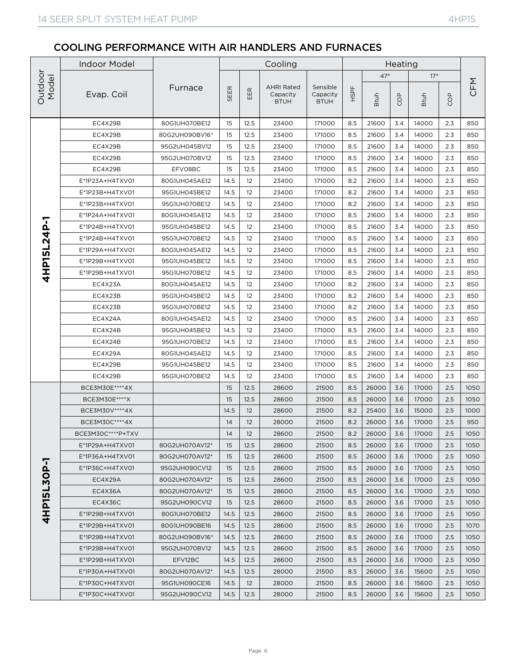|                                                | <b>Indoor Model</b> |                |      |      | Cooling                                      |                                     |      |             | Heating |             |            |      |
|------------------------------------------------|---------------------|----------------|------|------|----------------------------------------------|-------------------------------------|------|-------------|---------|-------------|------------|------|
|                                                |                     |                |      |      |                                              |                                     |      | $47^\circ$  |         | $17^\circ$  |            |      |
| Outdoor<br>Model<br>4HP15L24P-1<br>4HP15L30P-1 | Evap. Coil          | Furnace        | SEER | EER  | <b>AHRI Rated</b><br>Capacity<br><b>BTUH</b> | Sensible<br>Capacity<br><b>BTUH</b> | HSPF | <b>Btuh</b> | COP     | <b>Btuh</b> | <b>GOP</b> | CFM  |
|                                                | EC4X29B             | 80G1UH070BE12  | 15   | 12.5 | 23400                                        | 171000                              | 8.5  | 21600       | 3.4     | 14000       | 2.3        | 850  |
|                                                | EC4X29B             | 80G2UH090BV16* | 15   | 12.5 | 23400                                        | 171000                              | 8.5  | 21600       | 3.4     | 14000       | 2.3        | 850  |
|                                                | EC4X29B             | 95G2UH045BV12  | 15   | 12.5 | 23400                                        | 171000                              | 8.5  | 21600       | 3.4     | 14000       | 2.3        | 850  |
|                                                | EC4X29B             | 95G2UH070BV12  | 15   | 12.5 | 23400                                        | 171000                              | 8.5  | 21600       | 3.4     | 14000       | 2.3        | 850  |
|                                                | EC4X29B             | EFV08BC        | 15   | 12.5 | 23400                                        | 171000                              | 8.5  | 21600       | 3.4     | 14000       | 2.3        | 850  |
|                                                | E*1P23A+H4TXV01     | 80G1UH045AE12  | 14.5 | 12   | 23400                                        | 171000                              | 8.2  | 21600       | 3.4     | 14000       | 2.3        | 850  |
|                                                | E*1P23B+H4TXV01     | 95G1UH045BE12  | 14.5 | 12   | 23400                                        | 171000                              | 8.2  | 21600       | 3.4     | 14000       | 2.3        | 850  |
|                                                | E*1P23B+H4TXV01     | 95G1UH070BE12  | 14.5 | 12   | 23400                                        | 171000                              | 8.2  | 21600       | 3.4     | 14000       | 2.3        | 850  |
|                                                | E*1P24A+H4TXV01     | 80G1UH045AE12  | 14.5 | 12   | 23400                                        | 171000                              | 8.5  | 21600       | 3.4     | 14000       | 2.3        | 850  |
|                                                | E*1P24B+H4TXV01     | 95G1UH045BE12  | 14.5 | 12   | 23400                                        | 171000                              | 8.5  | 21600       | 3.4     | 14000       | 2.3        | 850  |
|                                                | E*1P24B+H4TXV01     | 95G1UH070BE12  | 14.5 | 12   | 23400                                        | 171000                              | 8.5  | 21600       | 3.4     | 14000       | 2.3        | 850  |
|                                                | E*1P29A+H4TXV01     | 80G1UH045AE12  | 14.5 | 12   | 23400                                        | 171000                              | 8.5  | 21600       | 3.4     | 14000       | 2.3        | 850  |
|                                                | E*1P29B+H4TXV01     | 95G1UH045BE12  | 14.5 | 12   | 23400                                        | 171000                              | 8.5  | 21600       | 3.4     | 14000       | 2.3        | 850  |
|                                                | E*1P29B+H4TXV01     | 95G1UH070BE12  | 14.5 | 12   | 23400                                        | 171000                              | 8.5  | 21600       | 3.4     | 14000       | 2.3        | 850  |
|                                                | EC4X23A             | 80G1UH045AE12  | 14.5 | 12   | 23400                                        | 171000                              | 8.2  | 21600       | 3.4     | 14000       | 2.3        | 850  |
|                                                | EC4X23B             | 95G1UH045BE12  | 14.5 | 12   | 23400                                        | 171000                              | 8.2  | 21600       | 3.4     | 14000       | 2.3        | 850  |
|                                                | EC4X23B             | 95G1UH070BE12  | 14.5 | 12   | 23400                                        | 171000                              | 8.2  | 21600       | 3.4     | 14000       | 2.3        | 850  |
|                                                | EC4X24A             | 80G1UH045AE12  | 14.5 | 12   | 23400                                        | 171000                              | 8.5  | 21600       | 3.4     | 14000       | 2.3        | 850  |
|                                                | EC4X24B             | 95G1UH045BE12  | 14.5 | 12   | 23400                                        | 171000                              | 8.5  | 21600       | 3.4     | 14000       | 2.3        | 850  |
|                                                | EC4X24B             | 95G1UH070BE12  | 14.5 | 12   | 23400                                        | 171000                              | 8.5  | 21600       | 3.4     | 14000       | 2.3        | 850  |
|                                                | EC4X29A             | 80G1UH045AE12  | 14.5 | 12   | 23400                                        | 171000                              | 8.5  | 21600       | 3.4     | 14000       | 2.3        | 850  |
|                                                | EC4X29B             | 95G1UH045BE12  | 14.5 | 12   | 23400                                        | 171000                              | 8.5  | 21600       | 3.4     | 14000       | 2.3        | 850  |
|                                                | EC4X29B             | 95G1UH070BE12  | 14.5 | 12   | 23400                                        | 171000                              | 8.5  | 21600       | 3.4     | 14000       | 2.3        | 850  |
|                                                | BCE3M30E **** 4X    |                | 15   | 12.5 | 28600                                        | 21500                               | 8.5  | 26000       | 3.6     | 17000       | 2.5        | 1050 |
|                                                | BCE3M30E****X       |                | 15   | 12.5 | 28600                                        | 21500                               | 8.5  | 26000       | 3.6     | 17000       | 2.5        | 1050 |
|                                                | BCE3M30V **** 4X    |                | 14.5 | 12   | 28600                                        | 21500                               | 8.2  | 25400       | 3.6     | 15000       | 2.5        | 1000 |
|                                                | BCE3M30C****4X      |                | 14   | 12   | 28000                                        | 21500                               | 8.2  | 26000       | 3.6     | 17000       | 2.5        | 950  |
|                                                | BCE3M30C****P+TXV   |                | 14   | 12   | 28600                                        | 21500                               | 8.2  | 26000       | 3.6     | 17000       | 2.5        | 1050 |
|                                                | E*1P29A+H4TXV01     | 80G2UH070AV12* | 15   | 12.5 | 28600                                        | 21500                               | 8.5  | 26000       | 3.6     | 17000       | 2.5        | 1050 |
|                                                | E*1P36A+H4TXV01     | 80G2UH070AV12* | 15   | 12.5 | 28600                                        | 21500                               | 8.5  | 26000       | 3.6     | 17000       | 2.5        | 1050 |
|                                                | E*1P36C+H4TXV01     | 95G2UH090CV12  | 15   | 12.5 | 28600                                        | 21500                               | 8.5  | 26000       | 3.6     | 17000       | 2.5        | 1050 |
|                                                | EC4X29A             | 80G2UH070AV12* | 15   | 12.5 | 28600                                        | 21500                               | 8.5  | 26000       | 3.6     | 17000       | 2.5        | 1050 |
|                                                | EC4X36A             | 80G2UH070AV12* | 15   | 12.5 | 28600                                        | 21500                               | 8.5  | 26000       | 3.6     | 17000       | 2.5        | 1050 |
|                                                | EC4X36C             | 95G2UH090CV12  | 15   | 12.5 | 28600                                        | 21500                               | 8.5  | 26000       | 3.6     | 17000       | 2.5        | 1050 |
|                                                | E*1P29B+H4TXV01     | 80G1UH070BE12  | 14.5 | 12.5 | 28600                                        | 21500                               | 8.5  | 26000       | 3.6     | 17000       | 2.5        | 1050 |
|                                                | E*1P29B+H4TXV01     | 80G1UH090BE16  | 14.5 | 12.5 | 28600                                        | 21500                               | 8.5  | 26000       | 3.6     | 17000       | 2.5        | 1070 |
|                                                | E*1P29B+H4TXV01     | 80G2UH090BV16* | 14.5 | 12.5 | 28600                                        | 21500                               | 8.5  | 26000       | 3.6     | 17000       | 2.5        | 1050 |
|                                                | E*1P29B+H4TXV01     | 95G2UH070BV12  | 14.5 | 12.5 | 28600                                        | 21500                               | 8.5  | 26000       | 3.6     | 17000       | 2.5        | 1050 |
|                                                | E*1P29B+H4TXV01     | EFV12BC        | 14.5 | 12.5 | 28600                                        | 21500                               | 8.5  | 26000       | 3.6     | 17000       | 2.5        | 1050 |
|                                                | E*1P30A+H4TXV01     | 80G2UH070AV12* | 14.5 | 12.5 | 28000                                        | 21500                               | 8.5  | 26000       | 3.6     | 15600       | 2.5        | 1050 |
|                                                | E*1P30C+H4TXV01     | 95G1UH090CE16  | 14.5 | 12   | 28000                                        | 21500                               | 8.5  | 26000       | 3.6     | 15600       | 2.5        | 1050 |
|                                                | E*1P30C+H4TXV01     | 95G2UH090CV12  | 14.5 | 12.5 | 28000                                        | 21500                               | 8.5  | 26000       | 3.6     | 15600       | 2.5        | 1050 |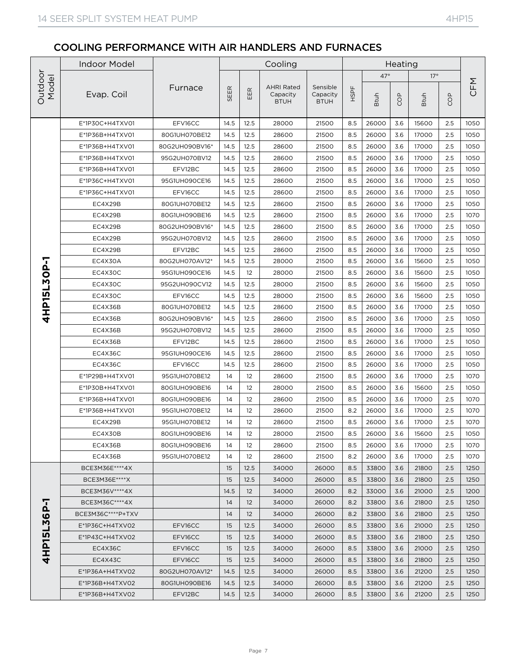|                                 | <b>Indoor Model</b> |                |      |      | Cooling                                      |                                     |      |             | Heating |             |            |      |
|---------------------------------|---------------------|----------------|------|------|----------------------------------------------|-------------------------------------|------|-------------|---------|-------------|------------|------|
|                                 |                     |                |      |      |                                              |                                     |      | $47^\circ$  |         | $17^\circ$  |            |      |
|                                 | Evap. Coil          | Furnace        | SEER | EER  | <b>AHRI Rated</b><br>Capacity<br><b>BTUH</b> | Sensible<br>Capacity<br><b>BTUH</b> | HSPF | <b>Btuh</b> | COP     | <b>Btuh</b> | <b>GOP</b> | CFM  |
|                                 | E*1P30C+H4TXV01     | EFV16CC        | 14.5 | 12.5 | 28000                                        | 21500                               | 8.5  | 26000       | 3.6     | 15600       | 2.5        | 1050 |
|                                 | E*1P36B+H4TXV01     | 80G1UH070BE12  | 14.5 | 12.5 | 28600                                        | 21500                               | 8.5  | 26000       | 3.6     | 17000       | 2.5        | 1050 |
|                                 | E*1P36B+H4TXV01     | 80G2UH090BV16* | 14.5 | 12.5 | 28600                                        | 21500                               | 8.5  | 26000       | 3.6     | 17000       | 2.5        | 1050 |
| Outdoor<br>Model<br>4HP15L30P-1 | E*1P36B+H4TXV01     | 95G2UH070BV12  | 14.5 | 12.5 | 28600                                        | 21500                               | 8.5  | 26000       | 3.6     | 17000       | 2.5        | 1050 |
|                                 | E*1P36B+H4TXV01     | EFV12BC        | 14.5 | 12.5 | 28600                                        | 21500                               | 8.5  | 26000       | 3.6     | 17000       | 2.5        | 1050 |
|                                 | E*1P36C+H4TXV01     | 95G1UH090CE16  | 14.5 | 12.5 | 28600                                        | 21500                               | 8.5  | 26000       | 3.6     | 17000       | 2.5        | 1050 |
|                                 | E*1P36C+H4TXV01     | EFV16CC        | 14.5 | 12.5 | 28600                                        | 21500                               | 8.5  | 26000       | 3.6     | 17000       | 2.5        | 1050 |
|                                 | EC4X29B             | 80G1UH070BE12  | 14.5 | 12.5 | 28600                                        | 21500                               | 8.5  | 26000       | 3.6     | 17000       | 2.5        | 1050 |
|                                 | EC4X29B             | 80G1UH090BE16  | 14.5 | 12.5 | 28600                                        | 21500                               | 8.5  | 26000       | 3.6     | 17000       | 2.5        | 1070 |
|                                 | EC4X29B             | 80G2UH090BV16* | 14.5 | 12.5 | 28600                                        | 21500                               | 8.5  | 26000       | 3.6     | 17000       | 2.5        | 1050 |
|                                 | EC4X29B             | 95G2UH070BV12  | 14.5 | 12.5 | 28600                                        | 21500                               | 8.5  | 26000       | 3.6     | 17000       | 2.5        | 1050 |
|                                 | EC4X29B             | EFV12BC        | 14.5 | 12.5 | 28600                                        | 21500                               | 8.5  | 26000       | 3.6     | 17000       | 2.5        | 1050 |
|                                 | EC4X30A             | 80G2UH070AV12* | 14.5 | 12.5 | 28000                                        | 21500                               | 8.5  | 26000       | 3.6     | 15600       | 2.5        | 1050 |
|                                 | EC4X30C             | 95G1UH090CE16  | 14.5 | 12   | 28000                                        | 21500                               | 8.5  | 26000       | 3.6     | 15600       | 2.5        | 1050 |
|                                 | EC4X30C             | 95G2UH090CV12  | 14.5 | 12.5 | 28000                                        | 21500                               | 8.5  | 26000       | 3.6     | 15600       | 2.5        | 1050 |
|                                 | EC4X30C             | EFV16CC        | 14.5 | 12.5 | 28000                                        | 21500                               | 8.5  | 26000       | 3.6     | 15600       | 2.5        | 1050 |
|                                 | EC4X36B             | 80G1UH070BE12  | 14.5 | 12.5 | 28600                                        | 21500                               | 8.5  | 26000       | 3.6     | 17000       | 2.5        | 1050 |
|                                 | EC4X36B             | 80G2UH090BV16* | 14.5 | 12.5 | 28600                                        | 21500                               | 8.5  | 26000       | 3.6     | 17000       | 2.5        | 1050 |
|                                 | EC4X36B             | 95G2UH070BV12  | 14.5 | 12.5 | 28600                                        | 21500                               | 8.5  | 26000       | 3.6     | 17000       | 2.5        | 1050 |
|                                 | EC4X36B             | EFV12BC        | 14.5 | 12.5 | 28600                                        | 21500                               | 8.5  | 26000       | 3.6     | 17000       | 2.5        | 1050 |
|                                 | EC4X36C             | 95G1UH090CE16  | 14.5 | 12.5 | 28600                                        | 21500                               | 8.5  | 26000       | 3.6     | 17000       | 2.5        | 1050 |
|                                 | EC4X36C             | EFV16CC        | 14.5 | 12.5 | 28600                                        | 21500                               | 8.5  | 26000       | 3.6     | 17000       | 2.5        | 1050 |
|                                 | E*1P29B+H4TXV01     | 95G1UH070BE12  | 14   | 12   | 28600                                        | 21500                               | 8.5  | 26000       | 3.6     | 17000       | 2.5        | 1070 |
|                                 | E*1P30B+H4TXV01     | 80G1UH090BE16  | 14   | 12   | 28000                                        | 21500                               | 8.5  | 26000       | 3.6     | 15600       | 2.5        | 1050 |
|                                 | E*1P36B+H4TXV01     | 80G1UH090BE16  | 14   | 12   | 28600                                        | 21500                               | 8.5  | 26000       | 3.6     | 17000       | 2.5        | 1070 |
|                                 | E*1P36B+H4TXV01     | 95G1UH070BE12  | 14   | 12   | 28600                                        | 21500                               | 8.2  | 26000       | 3.6     | 17000       | 2.5        | 1070 |
|                                 | EC4X29B             | 95G1UH070BE12  | 14   | 12   | 28600                                        | 21500                               | 8.5  | 26000       | 3.6     | 17000       | 2.5        | 1070 |
|                                 | EC4X30B             | 80G1UH090BE16  | 14   | 12   | 28000                                        | 21500                               | 8.5  | 26000       | $3.6$   | 15600       | 2.5        | 1050 |
|                                 | EC4X36B             | 80G1UH090BE16  | 14   | 12   | 28600                                        | 21500                               | 8.5  | 26000       | 3.6     | 17000       | 2.5        | 1070 |
|                                 | EC4X36B             | 95G1UH070BE12  | 14   | 12   | 28600                                        | 21500                               | 8.2  | 26000       | 3.6     | 17000       | 2.5        | 1070 |
|                                 | BCE3M36E **** 4X    |                | 15   | 12.5 | 34000                                        | 26000                               | 8.5  | 33800       | 3.6     | 21800       | 2.5        | 1250 |
|                                 | BCE3M36E****X       |                | 15   | 12.5 | 34000                                        | 26000                               | 8.5  | 33800       | 3.6     | 21800       | 2.5        | 1250 |
|                                 | BCE3M36V **** 4X    |                | 14.5 | 12   | 34000                                        | 26000                               | 8.2  | 33000       | 3.6     | 21000       | 2.5        | 1200 |
| 6P-1                            | BCE3M36C****4X      |                | 14   | 12   | 34000                                        | 26000                               | 8.2  | 33800       | 3.6     | 21800       | 2.5        | 1250 |
| Ŋ                               | BCE3M36C****P+TXV   |                | 14   | 12   | 34000                                        | 26000                               | 8.2  | 33800       | 3.6     | 21800       | 2.5        | 1250 |
|                                 | $E^*$ 1P36C+H4TXV02 | EFV16CC        | 15   | 12.5 | 34000                                        | 26000                               | 8.5  | 33800       | 3.6     | 21000       | 2.5        | 1250 |
| 4HP15                           | E*1P43C+H4TXV02     | EFV16CC        | 15   | 12.5 | 34000                                        | 26000                               | 8.5  | 33800       | 3.6     | 21800       | 2.5        | 1250 |
|                                 | EC4X36C             | EFV16CC        | 15   | 12.5 | 34000                                        | 26000                               | 8.5  | 33800       | 3.6     | 21000       | 2.5        | 1250 |
|                                 | EC4X43C             | EFV16CC        | 15   | 12.5 | 34000                                        | 26000                               | 8.5  | 33800       | 3.6     | 21800       | 2.5        | 1250 |
|                                 | $E^*$ 1P36A+H4TXV02 | 80G2UH070AV12* | 14.5 | 12.5 | 34000                                        | 26000                               | 8.5  | 33800       | 3.6     | 21200       | 2.5        | 1250 |
|                                 | E*1P36B+H4TXV02     | 80G1UH090BE16  | 14.5 | 12.5 | 34000                                        | 26000                               | 8.5  | 33800       | 3.6     | 21200       | 2.5        | 1250 |
|                                 | E*1P36B+H4TXV02     | EFV12BC        | 14.5 | 12.5 | 34000                                        | 26000                               | 8.5  | 33800       | 3.6     | 21200       | 2.5        | 1250 |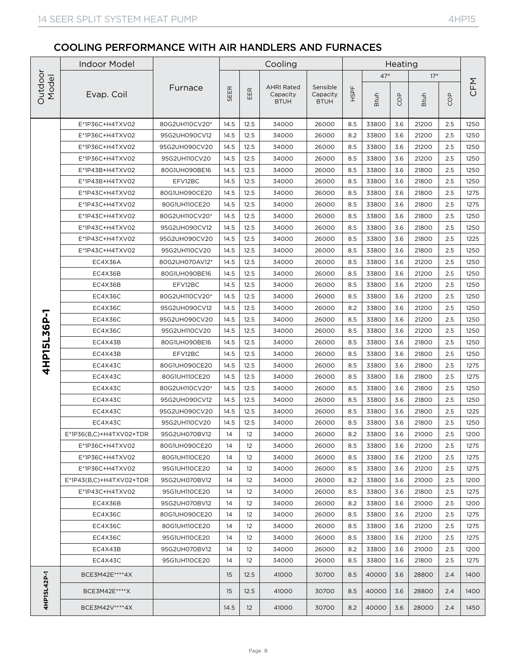|                                                        | <b>Indoor Model</b>     |                |      |                                        | Cooling                                      |                                     |      |             | Heating |             |            |      |
|--------------------------------------------------------|-------------------------|----------------|------|----------------------------------------|----------------------------------------------|-------------------------------------|------|-------------|---------|-------------|------------|------|
|                                                        |                         |                |      |                                        |                                              |                                     |      | $47^\circ$  |         | $17^\circ$  |            |      |
| Outdoor<br>Model<br>6P-1<br>Ņ<br>15LdHb<br>4HP15L42P-1 | Evap. Coil              | Furnace        | SEER | $\boldsymbol{\underline{\alpha}}$<br>出 | <b>AHRI Rated</b><br>Capacity<br><b>BTUH</b> | Sensible<br>Capacity<br><b>BTUH</b> | HSPF | <b>Btuh</b> | COP     | <b>Btuh</b> | <b>GOP</b> | CFM  |
|                                                        | E*1P36C+H4TXV02         | 80G2UH110CV20* | 14.5 | 12.5                                   | 34000                                        | 26000                               | 8.5  | 33800       | 3.6     | 21200       | 2.5        | 1250 |
|                                                        | E*1P36C+H4TXV02         | 95G2UH090CV12  | 14.5 | 12.5                                   | 34000                                        | 26000                               | 8.2  | 33800       | 3.6     | 21200       | 2.5        | 1250 |
|                                                        | E*1P36C+H4TXV02         | 95G2UH090CV20  | 14.5 | 12.5                                   | 34000                                        | 26000                               | 8.5  | 33800       | 3.6     | 21200       | 2.5        | 1250 |
|                                                        | E*1P36C+H4TXV02         | 95G2UH110CV20  | 14.5 | 12.5                                   | 34000                                        | 26000                               | 8.5  | 33800       | 3.6     | 21200       | 2.5        | 1250 |
|                                                        | E*1P43B+H4TXV02         | 80G1UH090BE16  | 14.5 | 12.5                                   | 34000                                        | 26000                               | 8.5  | 33800       | 3.6     | 21800       | 2.5        | 1250 |
|                                                        | E*1P43B+H4TXV02         | EFV12BC        | 14.5 | 12.5                                   | 34000                                        | 26000                               | 8.5  | 33800       | 3.6     | 21800       | 2.5        | 1250 |
|                                                        | E*1P43C+H4TXV02         | 80G1UH090CE20  | 14.5 | 12.5                                   | 34000                                        | 26000                               | 8.5  | 33800       | 3.6     | 21800       | 2.5        | 1275 |
|                                                        | E*1P43C+H4TXV02         | 80G1UH110CE20  | 14.5 | 12.5                                   | 34000                                        | 26000                               | 8.5  | 33800       | 3.6     | 21800       | 2.5        | 1275 |
|                                                        | E*1P43C+H4TXV02         | 80G2UH110CV20* | 14.5 | 12.5                                   | 34000                                        | 26000                               | 8.5  | 33800       | 3.6     | 21800       | 2.5        | 1250 |
|                                                        | E*1P43C+H4TXV02         | 95G2UH090CV12  | 14.5 | 12.5                                   | 34000                                        | 26000                               | 8.5  | 33800       | 3.6     | 21800       | 2.5        | 1250 |
|                                                        | E*1P43C+H4TXV02         | 95G2UH090CV20  | 14.5 | 12.5                                   | 34000                                        | 26000                               | 8.5  | 33800       | 3.6     | 21800       | 2.5        | 1225 |
|                                                        | E*1P43C+H4TXV02         | 95G2UH110CV20  | 14.5 | 12.5                                   | 34000                                        | 26000                               | 8.5  | 33800       | 3.6     | 21800       | 2.5        | 1250 |
|                                                        | EC4X36A                 | 80G2UH070AV12* | 14.5 | 12.5                                   | 34000                                        | 26000                               | 8.5  | 33800       | 3.6     | 21200       | 2.5        | 1250 |
|                                                        | EC4X36B                 | 80G1UH090BE16  | 14.5 | 12.5                                   | 34000                                        | 26000                               | 8.5  | 33800       | 3.6     | 21200       | 2.5        | 1250 |
|                                                        | EC4X36B                 | EFV12BC        | 14.5 | 12.5                                   | 34000                                        | 26000                               | 8.5  | 33800       | 3.6     | 21200       | 2.5        | 1250 |
|                                                        | EC4X36C                 | 80G2UH110CV20* | 14.5 | 12.5                                   | 34000                                        | 26000                               | 8.5  | 33800       | 3.6     | 21200       | 2.5        | 1250 |
|                                                        | EC4X36C                 | 95G2UH090CV12  | 14.5 | 12.5                                   | 34000                                        | 26000                               | 8.2  | 33800       | 3.6     | 21200       | 2.5        | 1250 |
|                                                        | EC4X36C                 | 95G2UH090CV20  | 14.5 | 12.5                                   | 34000                                        | 26000                               | 8.5  | 33800       | 3.6     | 21200       | 2.5        | 1250 |
|                                                        | EC4X36C                 | 95G2UH110CV20  | 14.5 | 12.5                                   | 34000                                        | 26000                               | 8.5  | 33800       | 3.6     | 21200       | 2.5        | 1250 |
|                                                        | EC4X43B                 | 80G1UH090BE16  | 14.5 | 12.5                                   | 34000                                        | 26000                               | 8.5  | 33800       | 3.6     | 21800       | 2.5        | 1250 |
|                                                        | EC4X43B                 | EFV12BC        | 14.5 | 12.5                                   | 34000                                        | 26000                               | 8.5  | 33800       | 3.6     | 21800       | 2.5        | 1250 |
|                                                        | EC4X43C                 | 80G1UH090CE20  | 14.5 | 12.5                                   | 34000                                        | 26000                               | 8.5  | 33800       | 3.6     | 21800       | 2.5        | 1275 |
|                                                        | EC4X43C                 | 80G1UH110CE20  | 14.5 | 12.5                                   | 34000                                        | 26000                               | 8.5  | 33800       | 3.6     | 21800       | 2.5        | 1275 |
|                                                        | EC4X43C                 | 80G2UH110CV20* | 14.5 | 12.5                                   | 34000                                        | 26000                               | 8.5  | 33800       | 3.6     | 21800       | 2.5        | 1250 |
|                                                        | EC4X43C                 | 95G2UH090CV12  | 14.5 | 12.5                                   | 34000                                        | 26000                               | 8.5  | 33800       | 3.6     | 21800       | 2.5        | 1250 |
|                                                        | EC4X43C                 | 95G2UH090CV20  | 14.5 | 12.5                                   | 34000                                        | 26000                               | 8.5  | 33800       | 3.6     | 21800       | 2.5        | 1225 |
|                                                        | EC4X43C                 | 95G2UH110CV20  | 14.5 | 12.5                                   | 34000                                        | 26000                               | 8.5  | 33800       | 3.6     | 21800       | 2.5        | 1250 |
|                                                        | E*1P36(B,C)+H4TXV02+TDR | 95G2UH070BV12  | 14   | 12                                     | 34000                                        | 26000                               | 8.2  | 33800       | 3.6     | 21000       | $2.5\,$    | 1200 |
|                                                        | E*1P36C+H4TXV02         | 80G1UH090CE20  | 14   | 12                                     | 34000                                        | 26000                               | 8.5  | 33800       | 3.6     | 21200       | 2.5        | 1275 |
|                                                        | E*1P36C+H4TXV02         | 80G1UH110CE20  | 14   | 12                                     | 34000                                        | 26000                               | 8.5  | 33800       | 3.6     | 21200       | 2.5        | 1275 |
|                                                        | E*1P36C+H4TXV02         | 95G1UH110CE20  | 14   | $12 \overline{ }$                      | 34000                                        | 26000                               | 8.5  | 33800       | 3.6     | 21200       | 2.5        | 1275 |
|                                                        | E*1P43(B,C)+H4TXV02+TDR | 95G2UH070BV12  | 14   | 12                                     | 34000                                        | 26000                               | 8.2  | 33800       | 3.6     | 21000       | 2.5        | 1200 |
|                                                        | E*1P43C+H4TXV02         | 95G1UH110CE20  | 14   | 12                                     | 34000                                        | 26000                               | 8.5  | 33800       | 3.6     | 21800       | 2.5        | 1275 |
|                                                        | EC4X36B                 | 95G2UH070BV12  | 14   | 12                                     | 34000                                        | 26000                               | 8.2  | 33800       | 3.6     | 21000       | 2.5        | 1200 |
|                                                        | EC4X36C                 | 80G1UH090CE20  | 14   | 12                                     | 34000                                        | 26000                               | 8.5  | 33800       | 3.6     | 21200       | 2.5        | 1275 |
|                                                        | EC4X36C                 | 80G1UH110CE20  | 14   | 12                                     | 34000                                        | 26000                               | 8.5  | 33800       | 3.6     | 21200       | 2.5        | 1275 |
|                                                        | EC4X36C                 | 95G1UH110CE20  | 14   | 12                                     | 34000                                        | 26000                               | 8.5  | 33800       | 3.6     | 21200       | 2.5        | 1275 |
|                                                        | EC4X43B                 | 95G2UH070BV12  | 14   | $12 \overline{ }$                      | 34000                                        | 26000                               | 8.2  | 33800       | 3.6     | 21000       | 2.5        | 1200 |
|                                                        | EC4X43C                 | 95G1UH110CE20  | 14   | 12                                     | 34000                                        | 26000                               | 8.5  | 33800       | 3.6     | 21800       | 2.5        | 1275 |
|                                                        | BCE3M42E **** 4X        |                | 15   | 12.5                                   | 41000                                        | 30700                               | 8.5  | 40000       | 3.6     | 28800       | 2.4        | 1400 |
|                                                        | BCE3M42E****X           |                | 15   | 12.5                                   | 41000                                        | 30700                               | 8.5  | 40000       | 3.6     | 28800       | 2.4        | 1400 |
|                                                        | BCE3M42V****4X          |                | 14.5 | 12                                     | 41000                                        | 30700                               | 8.2  | 40000       | 3.6     | 28000       | 2.4        | 1450 |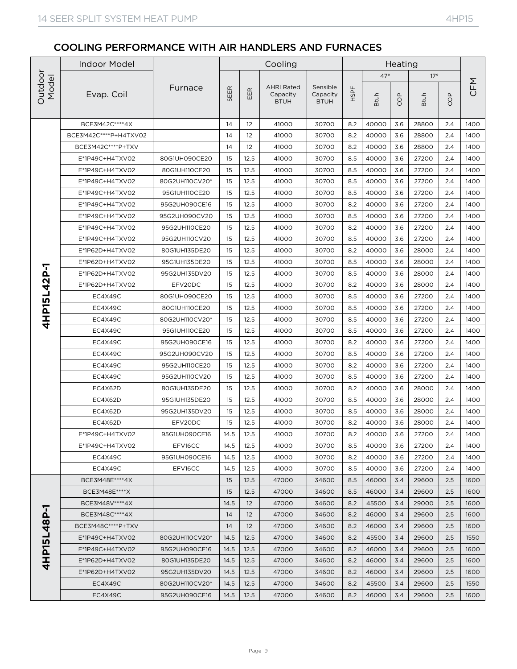|                                                | <b>Indoor Model</b>   |                          |            |                                        | Cooling                                      |                                     |            |                | Heating    |                |            |              |
|------------------------------------------------|-----------------------|--------------------------|------------|----------------------------------------|----------------------------------------------|-------------------------------------|------------|----------------|------------|----------------|------------|--------------|
|                                                |                       |                          |            |                                        |                                              |                                     |            | $47^\circ$     |            | $17^\circ$     |            |              |
| Outdoor<br>Model<br>4HP15L42P-1<br>4HP15L48P-1 | Evap. Coil            | Furnace                  | SEER       | $\boldsymbol{\underline{\alpha}}$<br>핊 | <b>AHRI Rated</b><br>Capacity<br><b>BTUH</b> | Sensible<br>Capacity<br><b>BTUH</b> | HSPF       | <b>Btuh</b>    | COP        | <b>Btuh</b>    | <b>GOP</b> | CFM          |
|                                                | BCE3M42C **** 4X      |                          | 14         | 12                                     | 41000                                        | 30700                               | 8.2        | 40000          | 3.6        | 28800          | 2.4        | 1400         |
|                                                | BCE3M42C****P+H4TXV02 |                          | 14         | 12                                     | 41000                                        | 30700                               | 8.2        | 40000          | 3.6        | 28800          | 2.4        | 1400         |
|                                                | BCE3M42C****P+TXV     |                          | 14         | 12                                     | 41000                                        | 30700                               | 8.2        | 40000          | 3.6        | 28800          | 2.4        | 1400         |
|                                                | E*1P49C+H4TXV02       | 80G1UH090CE20            | 15         | 12.5                                   | 41000                                        | 30700                               | 8.5        | 40000          | 3.6        | 27200          | 2.4        | 1400         |
|                                                | E*1P49C+H4TXV02       | 80G1UH110CE20            | 15         | 12.5                                   | 41000                                        | 30700                               | 8.5        | 40000          | 3.6        | 27200          | 2.4        | 1400         |
|                                                | E*1P49C+H4TXV02       | 80G2UH110CV20*           | 15         | 12.5                                   | 41000                                        | 30700                               | 8.5        | 40000          | 3.6        | 27200          | 2.4        | 1400         |
|                                                | E*1P49C+H4TXV02       | 95G1UH110CE20            | 15         | 12.5                                   | 41000                                        | 30700                               | 8.5        | 40000          | 3.6        | 27200          | 2.4        | 1400         |
|                                                | E*1P49C+H4TXV02       | 95G2UH090CE16            | 15         | 12.5                                   | 41000                                        | 30700                               | 8.2        | 40000          | 3.6        | 27200          | 2.4        | 1400         |
|                                                | E*1P49C+H4TXV02       | 95G2UH090CV20            | 15         | 12.5                                   | 41000                                        | 30700                               | 8.5        | 40000          | 3.6        | 27200          | 2.4        | 1400         |
|                                                | E*1P49C+H4TXV02       | 95G2UH110CE20            | 15         | 12.5                                   | 41000                                        | 30700                               | 8.2        | 40000          | 3.6        | 27200          | 2.4        | 1400         |
|                                                | E*1P49C+H4TXV02       | 95G2UH110CV20            | 15         | 12.5                                   | 41000                                        | 30700                               | 8.5        | 40000          | 3.6        | 27200          | 2.4        | 1400         |
|                                                | E*1P62D+H4TXV02       | 80G1UH135DE20            | 15         | 12.5                                   | 41000                                        | 30700                               | 8.2        | 40000          | 3.6        | 28000          | 2.4        | 1400         |
|                                                | E*1P62D+H4TXV02       | 95G1UH135DE20            | 15         | 12.5                                   | 41000                                        | 30700                               | 8.5        | 40000          | 3.6        | 28000          | 2.4        | 1400         |
|                                                | E*1P62D+H4TXV02       | 95G2UH135DV20            | 15         | 12.5                                   | 41000                                        | 30700                               | 8.5        | 40000          | 3.6        | 28000          | 2.4        | 1400         |
|                                                | E*1P62D+H4TXV02       | EFV20DC                  | 15         | 12.5                                   | 41000                                        | 30700                               | 8.2        | 40000          | 3.6        | 28000          | 2.4        | 1400         |
|                                                | EC4X49C               | 80G1UH090CE20            | 15         | 12.5                                   | 41000                                        | 30700                               | 8.5        | 40000          | 3.6        | 27200          | 2.4        | 1400         |
|                                                | EC4X49C               | 80G1UH110CE20            | 15         | 12.5                                   | 41000                                        | 30700                               | 8.5        | 40000          | 3.6        | 27200          | 2.4        | 1400         |
|                                                | EC4X49C               | 80G2UH110CV20*           | 15         | 12.5                                   | 41000                                        | 30700                               | 8.5        | 40000          | 3.6        | 27200          | 2.4        | 1400         |
|                                                | EC4X49C               | 95G1UH110CE20            | 15         | 12.5                                   | 41000                                        | 30700                               | 8.5        | 40000          | 3.6        | 27200          | 2.4        | 1400         |
|                                                | EC4X49C               | 95G2UH090CE16            | 15         | 12.5                                   | 41000                                        | 30700                               | 8.2        | 40000          | 3.6        | 27200          | 2.4        | 1400         |
|                                                | EC4X49C               | 95G2UH090CV20            | 15         | 12.5                                   | 41000                                        | 30700                               | 8.5        | 40000          | 3.6        | 27200          | 2.4        | 1400         |
|                                                | EC4X49C               | 95G2UH110CE20            | 15         | 12.5                                   | 41000                                        | 30700                               | 8.2        | 40000          | 3.6        | 27200          | 2.4        | 1400         |
|                                                | EC4X49C               | 95G2UH110CV20            | 15         | 12.5                                   | 41000                                        | 30700                               | 8.5        | 40000          | 3.6        | 27200          | 2.4        | 1400         |
|                                                | EC4X62D               | 80G1UH135DE20            | 15         | 12.5                                   | 41000                                        | 30700                               | 8.2        | 40000          | 3.6        | 28000          | 2.4        | 1400         |
|                                                | EC4X62D               | 95G1UH135DE20            | 15         | 12.5                                   | 41000                                        | 30700                               | 8.5        | 40000          | 3.6        | 28000          | 2.4        | 1400         |
|                                                | EC4X62D               | 95G2UH135DV20            | 15         | 12.5                                   | 41000                                        | 30700                               | 8.5        | 40000          | 3.6        | 28000          | 2.4        | 1400         |
|                                                | EC4X62D               | EFV20DC                  | 15         | 12.5                                   | 41000                                        | 30700                               | 8.2        | 40000          | 3.6        | 28000          | 2.4        | 1400         |
|                                                | E*1P49C+H4TXV02       | 95G1UH090CE16            | 14.5       | 12.5                                   | 41000                                        | 30700                               | 8.2        | 40000          | 3.6        | 27200          | 2.4        | 1400         |
|                                                | E*1P49C+H4TXV02       | EFV16CC                  | 14.5       | 12.5                                   | 41000                                        | 30700                               | 8.5        | 40000          | 3.6        | 27200          | 2.4        | 1400         |
|                                                | EC4X49C<br>EC4X49C    | 95G1UH090CE16<br>EFV16CC | 14.5       | 12.5                                   | 41000                                        | 30700                               | 8.2        | 40000<br>40000 | 3.6        | 27200          | 2.4        | 1400         |
|                                                | BCE3M48E****4X        |                          | 14.5<br>15 | 12.5<br>12.5                           | 41000<br>47000                               | 30700<br>34600                      | 8.5<br>8.5 | 46000          | 3.6<br>3.4 | 27200<br>29600 | 2.4<br>2.5 | 1400<br>1600 |
|                                                | BCE3M48E **** X       |                          | 15         | 12.5                                   | 47000                                        | 34600                               | 8.5        | 46000          | 3.4        | 29600          | 2.5        | 1600         |
|                                                | BCE3M48V****4X        |                          | 14.5       | $12 \overline{ }$                      | 47000                                        | 34600                               | 8.2        | 45500          | 3.4        | 29000          | 2.5        | 1600         |
|                                                | BCE3M48C****4X        |                          | 14         | 12                                     | 47000                                        | 34600                               | 8.2        | 46000          | 3.4        | 29600          | 2.5        | 1600         |
|                                                | BCE3M48C****P+TXV     |                          | 14         | 12                                     | 47000                                        | 34600                               | 8.2        | 46000          | 3.4        | 29600          | 2.5        | 1600         |
|                                                | E*1P49C+H4TXV02       | 80G2UH110CV20*           | 14.5       | 12.5                                   | 47000                                        | 34600                               | 8.2        | 45500          | 3.4        | 29600          | 2.5        | 1550         |
|                                                | E*1P49C+H4TXV02       | 95G2UH090CE16            | 14.5       | 12.5                                   | 47000                                        | 34600                               | 8.2        | 46000          | 3.4        | 29600          | 2.5        | 1600         |
|                                                | E*1P62D+H4TXV02       | 80G1UH135DE20            | 14.5       | 12.5                                   | 47000                                        | 34600                               | 8.2        | 46000          | 3.4        | 29600          | 2.5        | 1600         |
|                                                | E*1P62D+H4TXV02       | 95G2UH135DV20            | 14.5       | 12.5                                   | 47000                                        | 34600                               | 8.2        | 46000          | 3.4        | 29600          | 2.5        | 1600         |
|                                                | EC4X49C               | 80G2UH110CV20*           | 14.5       | 12.5                                   | 47000                                        | 34600                               | 8.2        | 45500          | 3.4        | 29600          | 2.5        | 1550         |
|                                                | EC4X49C               | 95G2UH090CE16            | 14.5       | 12.5                                   | 47000                                        | 34600                               | 8.2        | 46000          | 3.4        | 29600          | 2.5        | 1600         |
|                                                |                       |                          |            |                                        |                                              |                                     |            |                |            |                |            |              |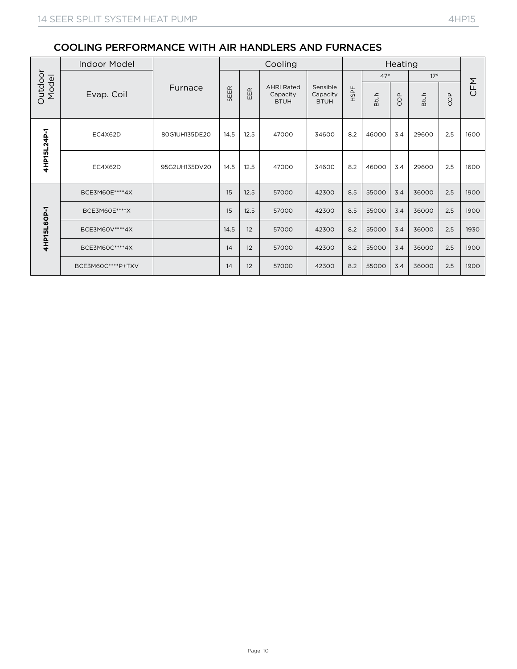| Outdoor<br>Model | <b>Indoor Model</b> |               |      |      | Cooling                                      |                                     |      |             | Heating |             |     |      |
|------------------|---------------------|---------------|------|------|----------------------------------------------|-------------------------------------|------|-------------|---------|-------------|-----|------|
|                  |                     |               |      |      |                                              |                                     |      | $47^\circ$  |         | 17°         |     |      |
|                  | Evap. Coil          | Furnace       | SEER | EER  | <b>AHRI Rated</b><br>Capacity<br><b>BTUH</b> | Sensible<br>Capacity<br><b>BTUH</b> | HSPF | <b>Btuh</b> | COP     | <b>Btuh</b> | COP | CFM  |
|                  |                     |               |      |      |                                              |                                     |      |             |         |             |     |      |
|                  |                     |               |      |      |                                              |                                     |      |             |         |             |     |      |
| 4HP15L24P-1      | EC4X62D             | 80G1UH135DE20 | 14.5 | 12.5 | 47000                                        | 34600                               | 8.2  | 46000       | 3.4     | 29600       | 2.5 | 1600 |
|                  |                     |               |      |      |                                              |                                     | 8.2  |             | 3.4     |             |     |      |
|                  | EC4X62D             | 95G2UH135DV20 | 14.5 | 12.5 | 47000                                        | 34600                               |      | 46000       |         | 29600       | 2.5 | 1600 |
|                  | BCE3M60E****4X      |               | 15   | 12.5 | 57000                                        | 42300                               | 8.5  | 55000       | 3.4     | 36000       | 2.5 | 1900 |
|                  | BCE3M60E****X       |               | 15   | 12.5 | 57000                                        | 42300                               | 8.5  | 55000       | 3.4     | 36000       | 2.5 | 1900 |
| 4HP15L6OP-1      | BCE3M60V **** 4X    |               | 14.5 | 12   | 57000                                        | 42300                               | 8.2  | 55000       | 3.4     | 36000       | 2.5 | 1930 |
|                  | BCE3M60C****4X      |               | 14   | 12   | 57000                                        | 42300                               | 8.2  | 55000       | 3.4     | 36000       | 2.5 | 1900 |
|                  | BCE3M60C****P+TXV   |               | 14   | 12   | 57000                                        | 42300                               | 8.2  | 55000       | 3.4     | 36000       | 2.5 | 1900 |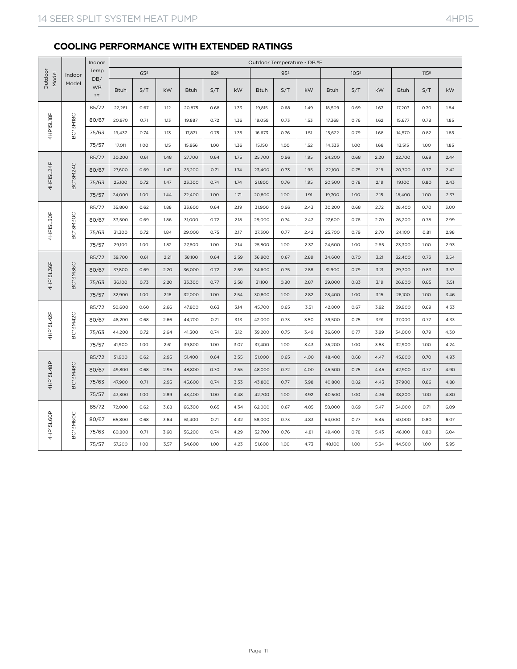## **COOLING PERFORMANCE WITH EXTENDED RATINGS**

|                                                                                                                                              |          | Indoor                           |             |                 |      |             |                 |      | Outdoor Temperature - DB ºF |                 |      |             |                  |      |             |                  |      |
|----------------------------------------------------------------------------------------------------------------------------------------------|----------|----------------------------------|-------------|-----------------|------|-------------|-----------------|------|-----------------------------|-----------------|------|-------------|------------------|------|-------------|------------------|------|
|                                                                                                                                              | Indoor   | Temp                             |             | 65 <sup>°</sup> |      |             | 82 <sup>°</sup> |      |                             | 95 <sup>°</sup> |      |             | 105 <sup>°</sup> |      |             | 115 <sup>°</sup> |      |
|                                                                                                                                              | Model    | DB/<br><b>WB</b><br>$\mathsf{P}$ | <b>Btuh</b> | S/T             | kW   | <b>Btuh</b> | S/T             | kW   | <b>Btuh</b>                 | S/T             | kW   | <b>Btuh</b> | S/T              | kW   | <b>Btuh</b> | S/T              | kW   |
| Outdoo<br>Model<br>4HP15L18P<br>BC*3M18C<br>4HP15L24P<br>BC*3M24C<br>4HP15L30P<br>BC*3M30C<br>4HP15L36P<br>BC*3M36C<br>4HP15L42P<br>BC*3M42C |          | 85/72                            | 22,261      | 0.67            | 1.12 | 20,875      | 0.68            | 1.33 | 19,815                      | 0.68            | 1.49 | 18,509      | 0.69             | 1.67 | 17,203      | 0.70             | 1.84 |
|                                                                                                                                              |          | 80/67                            | 20,970      | 0.71            | 1.13 | 19,887      | 0.72            | 1.36 | 19,059                      | 0.73            | 1.53 | 17,368      | 0.76             | 1.62 | 15,677      | 0.78             | 1.85 |
|                                                                                                                                              |          | 75/63                            | 19,437      | 0.74            | 1.13 | 17,871      | 0.75            | 1.35 | 16,673                      | 0.76            | 1.51 | 15,622      | 0.79             | 1.68 | 14,570      | 0.82             | 1.85 |
|                                                                                                                                              |          | 75/57                            | 17,011      | 1.00            | 1.15 | 15,956      | 1.00            | 1.36 | 15,150                      | 1.00            | 1.52 | 14,333      | 1.00             | 1.68 | 13,515      | 1.00             | 1.85 |
|                                                                                                                                              |          | 85/72                            | 30,200      | 0.61            | 1.48 | 27,700      | 0.64            | 1.75 | 25,700                      | 0.66            | 1.95 | 24,200      | 0.68             | 2.20 | 22,700      | 0.69             | 2.44 |
|                                                                                                                                              |          | 80/67                            | 27,600      | 0.69            | 1.47 | 25,200      | 0.71            | 1.74 | 23,400                      | 0.73            | 1.95 | 22,100      | 0.75             | 2.19 | 20,700      | 0.77             | 2.42 |
|                                                                                                                                              |          | 75/63                            | 25,100      | 0.72            | 1.47 | 23,300      | 0.74            | 1.74 | 21,800                      | 0.76            | 1.95 | 20,500      | 0.78             | 2.19 | 19,100      | 0.80             | 2.43 |
|                                                                                                                                              |          | 75/57                            | 24,000      | 1.00            | 1.44 | 22,400      | 1.00            | 1.71 | 20,800                      | 1.00            | 1.91 | 19,700      | 1.00             | 2.15 | 18,400      | 1.00             | 2.37 |
|                                                                                                                                              |          | 85/72                            | 35,800      | 0.62            | 1.88 | 33,600      | 0.64            | 2.19 | 31,900                      | 0.66            | 2.43 | 30,200      | 0.68             | 2.72 | 28,400      | 0.70             | 3.00 |
|                                                                                                                                              |          | 80/67                            | 33,500      | 0.69            | 1.86 | 31,000      | 0.72            | 2.18 | 29,000                      | 0.74            | 2.42 | 27,600      | 0.76             | 2.70 | 26,200      | 0.78             | 2.99 |
|                                                                                                                                              |          | 75/63                            | 31,300      | 0.72            | 1.84 | 29,000      | 0.75            | 2.17 | 27,300                      | 0.77            | 2.42 | 25,700      | 0.79             | 2.70 | 24,100      | 0.81             | 2.98 |
|                                                                                                                                              |          | 75/57                            | 29,100      | 1.00            | 1.82 | 27,600      | 1.00            | 2.14 | 25,800                      | 1.00            | 2.37 | 24,600      | 1.00             | 2.65 | 23,300      | 1.00             | 2.93 |
|                                                                                                                                              |          | 85/72                            | 39,700      | 0.61            | 2.21 | 38,100      | 0.64            | 2.59 | 36,900                      | 0.67            | 2.89 | 34,600      | 0.70             | 3.21 | 32,400      | 0.73             | 3.54 |
|                                                                                                                                              |          | 80/67                            | 37,800      | 0.69            | 2.20 | 36,000      | 0.72            | 2.59 | 34,600                      | 0.75            | 2.88 | 31,900      | 0.79             | 3.21 | 29,300      | 0.83             | 3.53 |
|                                                                                                                                              |          | 75/63                            | 36,100      | 0.73            | 2.20 | 33,300      | 0.77            | 2.58 | 31,100                      | 0.80            | 2.87 | 29,000      | 0.83             | 3.19 | 26,800      | 0.85             | 3.51 |
|                                                                                                                                              |          | 75/57                            | 32,900      | 1.00            | 2.16 | 32,000      | 1.00            | 2.54 | 30,800                      | 1.00            | 2.82 | 28,400      | 1.00             | 3.15 | 26,100      | 1.00             | 3.46 |
|                                                                                                                                              |          | 85/72                            | 50,600      | 0.60            | 2.66 | 47,800      | 0.63            | 3.14 | 45,700                      | 0.65            | 3.51 | 42,800      | 0.67             | 3.92 | 39,900      | 0.69             | 4.33 |
|                                                                                                                                              |          | 80/67                            | 48,200      | 0.68            | 2.66 | 44,700      | 0.71            | 3.13 | 42,000                      | 0.73            | 3.50 | 39,500      | 0.75             | 3.91 | 37,000      | 0.77             | 4.33 |
|                                                                                                                                              |          | 75/63                            | 44,200      | 0.72            | 2.64 | 41,300      | 0.74            | 3.12 | 39,200                      | 0.75            | 3.49 | 36,600      | 0.77             | 3.89 | 34,000      | 0.79             | 4.30 |
|                                                                                                                                              |          | 75/57                            | 41,900      | 1.00            | 2.61 | 39,800      | 1.00            | 3.07 | 37,400                      | 1.00            | 3.43 | 35,200      | 1.00             | 3.83 | 32,900      | 1.00             | 4.24 |
|                                                                                                                                              |          | 85/72                            | 51,900      | 0.62            | 2.95 | 51,400      | 0.64            | 3.55 | 51,000                      | 0.65            | 4.00 | 48,400      | 0.68             | 4.47 | 45,800      | 0.70             | 4.93 |
|                                                                                                                                              |          | 80/67                            | 49,800      | 0.68            | 2.95 | 48,800      | 0.70            | 3.55 | 48,000                      | 0.72            | 4.00 | 45,500      | 0.75             | 4.45 | 42,900      | 0.77             | 4.90 |
| 4HP15L48P                                                                                                                                    | BC*3M48C | 75/63                            | 47,900      | 0.71            | 2.95 | 45,600      | 0.74            | 3.53 | 43,800                      | 0.77            | 3.98 | 40,800      | 0.82             | 4.43 | 37,900      | 0.86             | 4.88 |
|                                                                                                                                              |          | 75/57                            | 43,300      | 1.00            | 2.89 | 43,400      | 1.00            | 3.48 | 42,700                      | 1.00            | 3.92 | 40,500      | 1.00             | 4.36 | 38,200      | 1.00             | 4.80 |
|                                                                                                                                              |          | 85/72                            | 72,000      | 0.62            | 3.68 | 66,300      | 0.65            | 4.34 | 62,000                      | 0.67            | 4.85 | 58,000      | 0.69             | 5.47 | 54,000      | 0.71             | 6.09 |
| 4HP15L6OP                                                                                                                                    | BC*3M6OC | 80/67                            | 65,800      | 0.68            | 3.64 | 61,400      | 0.71            | 4.32 | 58,000                      | 0.73            | 4.83 | 54,000      | 0.77             | 5.45 | 50,000      | 0.80             | 6.07 |
|                                                                                                                                              |          | 75/63                            | 60,800      | 0.71            | 3.60 | 56,200      | 0.74            | 4.29 | 52,700                      | 0.76            | 4.81 | 49,400      | 0.78             | 5.43 | 46,100      | 0.80             | 6.04 |
|                                                                                                                                              |          | 75/57                            | 57,200      | 1.00            | 3.57 | 54,600      | 1.00            | 4.23 | 51,600                      | 1.00            | 4.73 | 48,100      | 1.00             | 5.34 | 44,500      | 1.00             | 5.95 |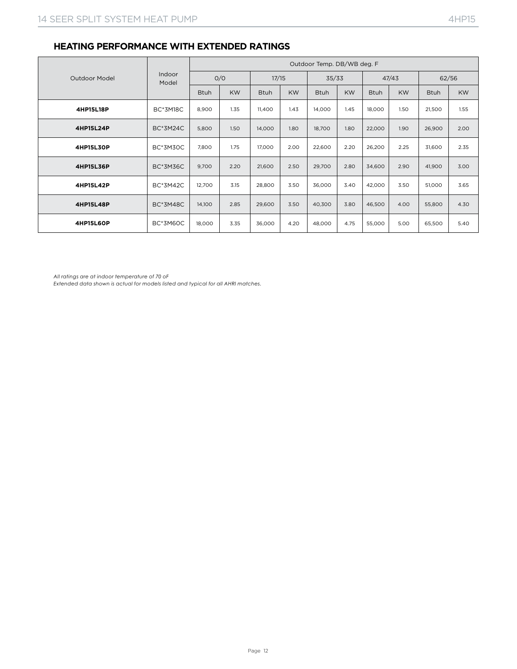#### **HEATING PERFORMANCE WITH EXTENDED RATINGS**

|                  | Indoor<br>Model | Outdoor Temp. DB/WB deg. F |           |             |           |             |           |             |           |             |           |
|------------------|-----------------|----------------------------|-----------|-------------|-----------|-------------|-----------|-------------|-----------|-------------|-----------|
| Outdoor Model    |                 | O/O                        |           | 17/15       |           | 35/33       |           | 47/43       |           | 62/56       |           |
|                  |                 | <b>Btuh</b>                | <b>KW</b> | <b>Btuh</b> | <b>KW</b> | <b>Btuh</b> | <b>KW</b> | <b>Btuh</b> | <b>KW</b> | <b>Btuh</b> | <b>KW</b> |
| 4HP15L18P        | <b>BC*3M18C</b> | 8,900                      | 1.35      | 11,400      | 1.43      | 14,000      | 1.45      | 18,000      | 1.50      | 21,500      | 1.55      |
| 4HP15L24P        | <b>BC*3M24C</b> | 5,800                      | 1.50      | 14,000      | 1.80      | 18,700      | 1.80      | 22,000      | 1.90      | 26,900      | 2.00      |
| 4HP15L30P        | <b>BC*3M30C</b> | 7,800                      | 1.75      | 17,000      | 2.00      | 22,600      | 2.20      | 26,200      | 2.25      | 31,600      | 2.35      |
| 4HP15L36P        | <b>BC*3M36C</b> | 9,700                      | 2.20      | 21,600      | 2.50      | 29,700      | 2.80      | 34,600      | 2.90      | 41,900      | 3.00      |
| 4HP15L42P        | <b>BC*3M42C</b> | 12,700                     | 3.15      | 28,800      | 3.50      | 36,000      | 3.40      | 42,000      | 3.50      | 51,000      | 3.65      |
| 4HP15L48P        | <b>BC*3M48C</b> | 14,100                     | 2.85      | 29,600      | 3.50      | 40,300      | 3.80      | 46,500      | 4.00      | 55,800      | 4.30      |
| <b>4HP15L6OP</b> | BC*3M60C        | 18,000                     | 3.35      | 36,000      | 4.20      | 48,000      | 4.75      | 55,000      | 5.00      | 65,500      | 5.40      |

*All ratings are at indoor temperature of 70 oF*

*Extended data shown is actual for models listed and typical for all AHRI matches.*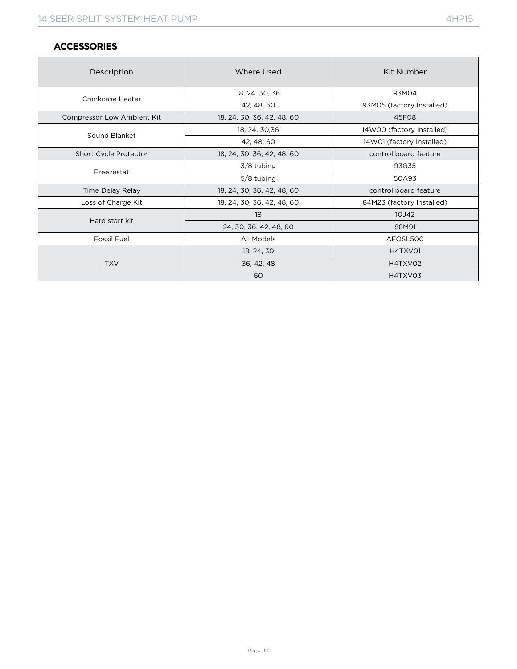#### **ACCESSORIES**

| Description                | Where Used                 | Kit Number                |  |  |  |
|----------------------------|----------------------------|---------------------------|--|--|--|
| Crankcase Heater           | 18, 24, 30, 36             | 93M04                     |  |  |  |
|                            | 42, 48, 60                 | 93M05 (factory Installed) |  |  |  |
| Compressor Low Ambient Kit | 18, 24, 30, 36, 42, 48, 60 | 45F08                     |  |  |  |
|                            | 18, 24, 30, 36             | 14W00 (factory Installed) |  |  |  |
| Sound Blanket              | 42, 48, 60                 | 14W01 (factory Installed) |  |  |  |
| Short Cycle Protector      | 18, 24, 30, 36, 42, 48, 60 | control board feature     |  |  |  |
|                            | 3/8 tubing                 | 93G35                     |  |  |  |
| Freezestat                 | 5/8 tubing                 | 50A93                     |  |  |  |
| Time Delay Relay           | 18, 24, 30, 36, 42, 48, 60 | control board feature     |  |  |  |
| Loss of Charge Kit         | 18, 24, 30, 36, 42, 48, 60 | 84M23 (factory Installed) |  |  |  |
|                            | 18                         | 10J42                     |  |  |  |
| Hard start kit             | 24, 30, 36, 42, 48, 60     | 88M91                     |  |  |  |
| Fossil Fuel                | All Models                 | AFOSL500                  |  |  |  |
|                            | 18, 24, 30                 | H4TXV01                   |  |  |  |
| <b>TXV</b>                 | 36, 42, 48                 | H4TXV02                   |  |  |  |
|                            | 60                         | H4TXV03                   |  |  |  |